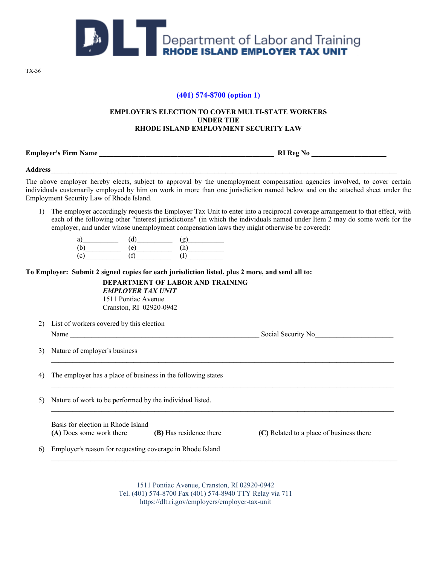

TX-36

## **(401) 574-8700 (option 1)**

## **EMPLOYER'S ELECTION TO COVER MULTI-STATE WORKERS UNDER THE RHODE ISLAND EMPLOYMENT SECURITY LAW**

**Employer's Firm Name \_\_\_\_\_\_\_\_\_\_\_\_\_\_\_\_\_\_\_\_\_\_\_\_\_\_\_\_\_\_\_\_\_\_\_\_\_\_\_\_\_\_\_\_\_\_\_\_\_ RI Reg No \_\_\_\_\_\_\_\_\_\_\_\_\_\_\_\_\_\_\_\_\_**

**Address\_\_\_\_\_\_\_\_\_\_\_\_\_\_\_\_\_\_\_\_\_\_\_\_\_\_\_\_\_\_\_\_\_\_\_\_\_\_\_\_\_\_\_\_\_\_\_\_\_\_\_\_\_\_\_\_\_\_\_\_\_\_\_\_\_\_\_\_\_\_\_\_\_\_\_\_\_\_\_\_\_\_\_\_\_\_\_\_\_\_\_\_\_\_\_\_\_**

The above employer hereby elects, subject to approval by the unemployment compensation agencies involved, to cover certain individuals customarily employed by him on work in more than one jurisdiction named below and on the attached sheet under the Employment Security Law of Rhode Island.

1) The employer accordingly requests the Employer Tax Unit to enter into a reciprocal coverage arrangement to that effect, with each of the following other "interest jurisdictions" (in which the individuals named under Item 2 may do some work for the employer, and under whose unemployment compensation laws they might otherwise be covered):

|        | r<br>u |  |
|--------|--------|--|
|        | e      |  |
| $\sim$ |        |  |

**To Employer: Submit 2 signed copies for each jurisdiction listed, plus 2 more, and send all to:**

**DEPARTMENT OF LABOR AND TRAINING**

*EMPLOYER TAX UNIT* 1511 Pontiac Avenue Cranston, RI 02920-0942

2) List of workers covered by this election Name Social Security No

 $\mathcal{L}_\mathcal{L} = \{ \mathcal{L}_\mathcal{L} = \{ \mathcal{L}_\mathcal{L} = \{ \mathcal{L}_\mathcal{L} = \{ \mathcal{L}_\mathcal{L} = \{ \mathcal{L}_\mathcal{L} = \{ \mathcal{L}_\mathcal{L} = \{ \mathcal{L}_\mathcal{L} = \{ \mathcal{L}_\mathcal{L} = \{ \mathcal{L}_\mathcal{L} = \{ \mathcal{L}_\mathcal{L} = \{ \mathcal{L}_\mathcal{L} = \{ \mathcal{L}_\mathcal{L} = \{ \mathcal{L}_\mathcal{L} = \{ \mathcal{L}_\mathcal{$ 

 $\mathcal{L}_\mathcal{L} = \mathcal{L}_\mathcal{L} = \mathcal{L}_\mathcal{L} = \mathcal{L}_\mathcal{L} = \mathcal{L}_\mathcal{L} = \mathcal{L}_\mathcal{L} = \mathcal{L}_\mathcal{L} = \mathcal{L}_\mathcal{L} = \mathcal{L}_\mathcal{L} = \mathcal{L}_\mathcal{L} = \mathcal{L}_\mathcal{L} = \mathcal{L}_\mathcal{L} = \mathcal{L}_\mathcal{L} = \mathcal{L}_\mathcal{L} = \mathcal{L}_\mathcal{L} = \mathcal{L}_\mathcal{L} = \mathcal{L}_\mathcal{L}$ 

3) Nature of employer's business  $\mathcal{L}_\mathcal{L} = \{ \mathcal{L}_\mathcal{L} = \{ \mathcal{L}_\mathcal{L} = \{ \mathcal{L}_\mathcal{L} = \{ \mathcal{L}_\mathcal{L} = \{ \mathcal{L}_\mathcal{L} = \{ \mathcal{L}_\mathcal{L} = \{ \mathcal{L}_\mathcal{L} = \{ \mathcal{L}_\mathcal{L} = \{ \mathcal{L}_\mathcal{L} = \{ \mathcal{L}_\mathcal{L} = \{ \mathcal{L}_\mathcal{L} = \{ \mathcal{L}_\mathcal{L} = \{ \mathcal{L}_\mathcal{L} = \{ \mathcal{L}_\mathcal{$ 

4) The employer has a place of business in the following states  $\mathcal{L}_\mathcal{L} = \{ \mathcal{L}_\mathcal{L} = \{ \mathcal{L}_\mathcal{L} = \{ \mathcal{L}_\mathcal{L} = \{ \mathcal{L}_\mathcal{L} = \{ \mathcal{L}_\mathcal{L} = \{ \mathcal{L}_\mathcal{L} = \{ \mathcal{L}_\mathcal{L} = \{ \mathcal{L}_\mathcal{L} = \{ \mathcal{L}_\mathcal{L} = \{ \mathcal{L}_\mathcal{L} = \{ \mathcal{L}_\mathcal{L} = \{ \mathcal{L}_\mathcal{L} = \{ \mathcal{L}_\mathcal{L} = \{ \mathcal{L}_\mathcal{$ 

5) Nature of work to be performed by the individual listed.

Basis for election in Rhode Island **(A)** Does some work there **(B)** Has residence there **(C)** Related to a place of business there

6) Employer's reason for requesting coverage in Rhode Island

1511 Pontiac Avenue, Cranston, RI 02920-0942 Tel. (401) 574-8700 Fax (401) 574-8940 TTY Relay via 711 https://dlt.ri.gov/employers/employer-tax-unit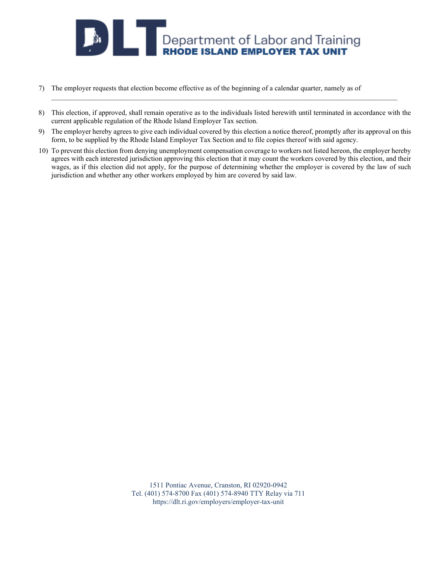

- 7) The employer requests that election become effective as of the beginning of a calendar quarter, namely as of
- 8) This election, if approved, shall remain operative as to the individuals listed herewith until terminated in accordance with the current applicable regulation of the Rhode Island Employer Tax section.

 $\_$  ,  $\_$  ,  $\_$  ,  $\_$  ,  $\_$  ,  $\_$  ,  $\_$  ,  $\_$  ,  $\_$  ,  $\_$  ,  $\_$  ,  $\_$  ,  $\_$  ,  $\_$  ,  $\_$  ,  $\_$  ,  $\_$  ,  $\_$  ,  $\_$  ,  $\_$  ,  $\_$  ,  $\_$  ,  $\_$  ,  $\_$  ,  $\_$  ,  $\_$  ,  $\_$  ,  $\_$  ,  $\_$  ,  $\_$  ,  $\_$  ,  $\_$  ,  $\_$  ,  $\_$  ,  $\_$  ,  $\_$  ,  $\_$  ,

- 9) The employer hereby agrees to give each individual covered by this election a notice thereof, promptly after its approval on this form, to be supplied by the Rhode Island Employer Tax Section and to file copies thereof with said agency.
- 10) To prevent this election from denying unemployment compensation coverage to workers not listed hereon, the employer hereby agrees with each interested jurisdiction approving this election that it may count the workers covered by this election, and their wages, as if this election did not apply, for the purpose of determining whether the employer is covered by the law of such jurisdiction and whether any other workers employed by him are covered by said law.